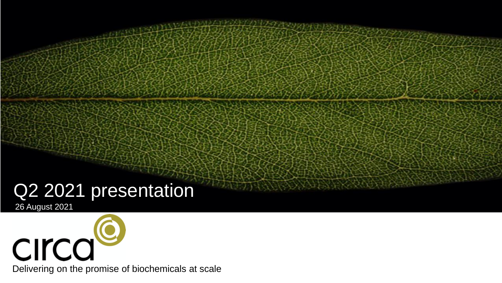# Q2 2021 presentation

26 August 2021



Delivering on the promise of biochemicals at scale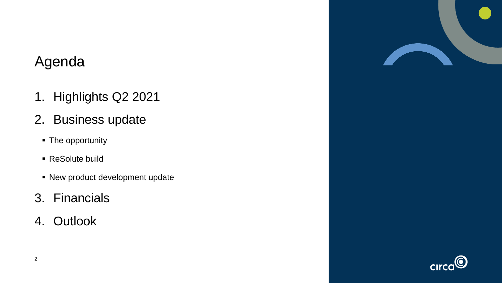#### Agenda

- 1. Highlights Q2 2021
- 2. Business update
	- **The opportunity**
	- ReSolute build
	- **.** New product development update
- 3. Financials
- 4. Outlook



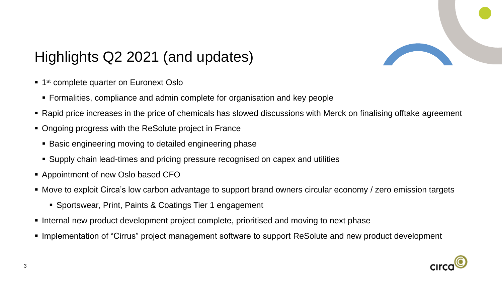

# Highlights Q2 2021 (and updates)

- **1** 1<sup>st</sup> complete quarter on Euronext Oslo
	- **EXEDERIFF FORMALISTS** Formalities, compliance and admin complete for organisation and key people
- Rapid price increases in the price of chemicals has slowed discussions with Merck on finalising offtake agreement
- Ongoing progress with the ReSolute project in France
	- Basic engineering moving to detailed engineering phase
	- Supply chain lead-times and pricing pressure recognised on capex and utilities
- Appointment of new Oslo based CFO
- Move to exploit Circa's low carbon advantage to support brand owners circular economy / zero emission targets
	- Sportswear, Print, Paints & Coatings Tier 1 engagement
- Internal new product development project complete, prioritised and moving to next phase
- Implementation of "Cirrus" project management software to support ReSolute and new product development

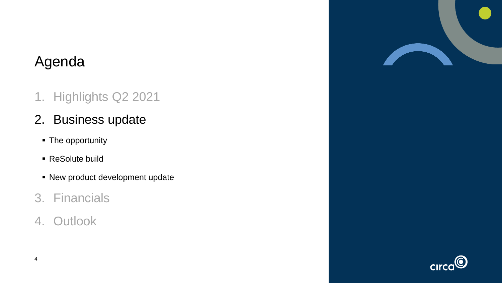### Agenda

- 1. Highlights Q2 2021
- 2. Business update
	- **The opportunity**
	- ReSolute build
	- **.** New product development update
- 3. Financials
- 4. Outlook



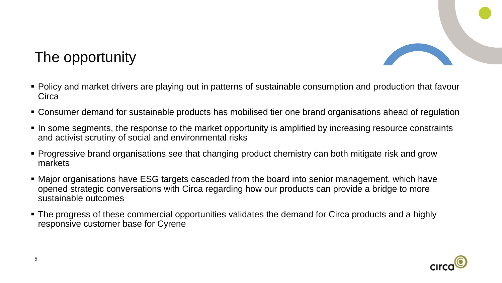

#### The opportunity

- Policy and market drivers are playing out in patterns of sustainable consumption and production that favour **Circa**
- Consumer demand for sustainable products has mobilised tier one brand organisations ahead of regulation
- In some segments, the response to the market opportunity is amplified by increasing resource constraints and activist scrutiny of social and environmental risks
- Progressive brand organisations see that changing product chemistry can both mitigate risk and grow markets
- Major organisations have ESG targets cascaded from the board into senior management, which have opened strategic conversations with Circa regarding how our products can provide a bridge to more sustainable outcomes
- The progress of these commercial opportunities validates the demand for Circa products and a highly responsive customer base for Cyrene

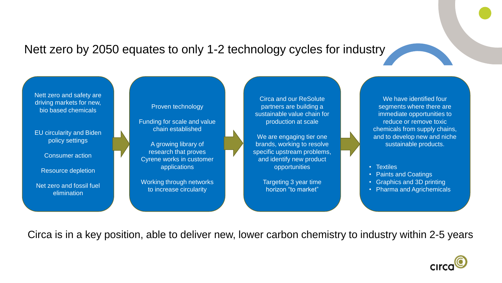#### Nett zero by 2050 equates to only 1-2 technology cycles for industry



Circa is in a key position, able to deliver new, lower carbon chemistry to industry within 2-5 years

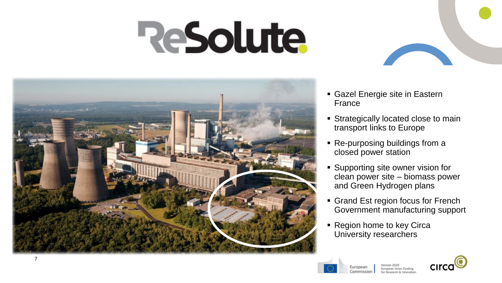# **ReSolute**



- Gazel Energie site in Eastern France
- **EXTENDING IS Strategically located close to main** transport links to Europe
- Re-purposing buildings from a closed power station
- **E** Supporting site owner vision for clean power site – biomass power and Green Hydrogen plans
- Grand Est region focus for French Government manufacturing support
- Region home to key Circa University researchers



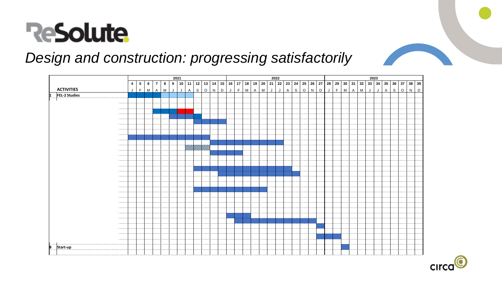

#### *Design and construction: progressing satisfactorily*



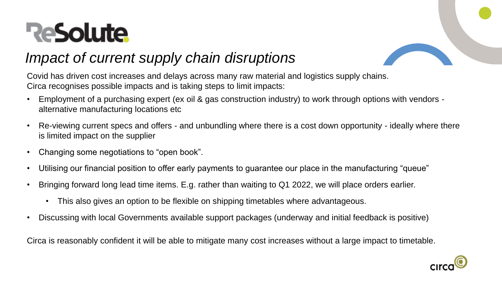# **ReSolute**



### *Impact of current supply chain disruptions*

Covid has driven cost increases and delays across many raw material and logistics supply chains. Circa recognises possible impacts and is taking steps to limit impacts:

- Employment of a purchasing expert (ex oil & gas construction industry) to work through options with vendors alternative manufacturing locations etc
- Re-viewing current specs and offers and unbundling where there is a cost down opportunity ideally where there is limited impact on the supplier
- Changing some negotiations to "open book".
- Utilising our financial position to offer early payments to guarantee our place in the manufacturing "queue"
- Bringing forward long lead time items. E.g. rather than waiting to Q1 2022, we will place orders earlier.
	- This also gives an option to be flexible on shipping timetables where advantageous.
- Discussing with local Governments available support packages (underway and initial feedback is positive)

Circa is reasonably confident it will be able to mitigate many cost increases without a large impact to timetable.

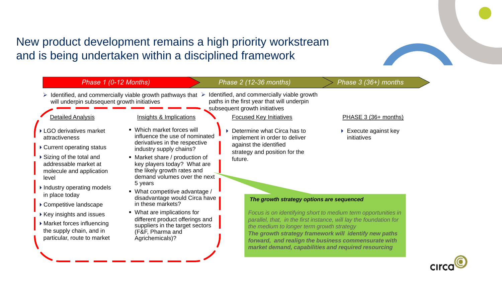#### New product development remains a high priority workstream and is being undertaken within a disciplined framework



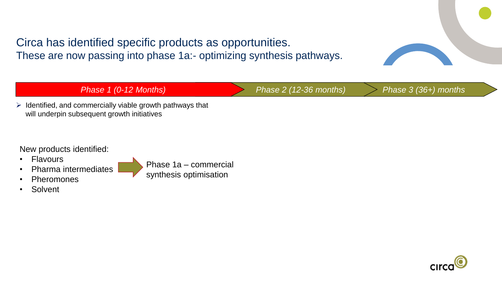Circa has identified specific products as opportunities. These are now passing into phase 1a:- optimizing synthesis pathways.



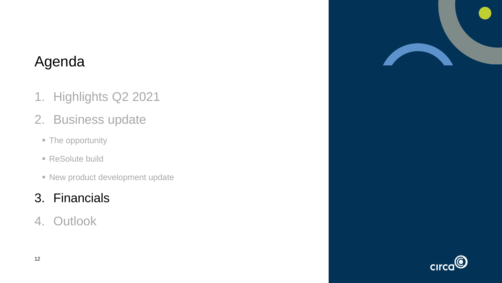### Agenda

- 1. Highlights Q2 2021
- 2. Business update
	- The opportunity
	- ReSolute build
	- **EXECUTE: New product development update**

#### 3. Financials

4. Outlook



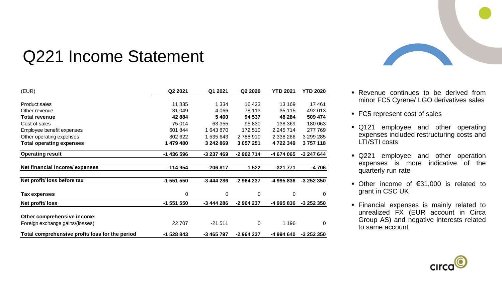

# Q221 Income Statement

| (EUR)                                           | Q2 2021    | Q1 2021    | Q2 2020    | <b>YTD 2021</b> | <b>YTD 2020</b> |
|-------------------------------------------------|------------|------------|------------|-----------------|-----------------|
|                                                 |            |            |            |                 |                 |
| <b>Product sales</b>                            | 11835      | 1 3 3 4    | 16 4 23    | 13 169          | 17461           |
| Other revenue                                   | 31 049     | 4 0 6 6    | 78 113     | 35 115          | 492 013         |
| <b>Total revenue</b>                            | 42884      | 5400       | 94 537     | 48 284          | 509 474         |
| Cost of sales                                   | 75 014     | 63 355     | 95 830     | 138 369         | 180 063         |
| Employee benefit expenses                       | 601 844    | 1643870    | 172 510    | 2 245 714       | 277 769         |
| Other operating expenses                        | 802 622    | 1 535 643  | 2788910    | 2 338 266       | 3 299 285       |
| <b>Total operating expenses</b>                 | 1 479 480  | 3 242 869  | 3 057 251  | 4 722 349       | 3757118         |
| <b>Operating result</b>                         | -1 436 596 | -3 237 469 | -2 962 714 | -4 674 065      | -3 247 644      |
| Net financial income/expenses                   | $-114954$  | $-206817$  | $-1522$    | $-321771$       | -4706           |
| Net profit/loss before tax                      | -1 551 550 | -3 444 286 | -2 964 237 | -4 995 836      | -3 252 350      |
|                                                 |            |            |            |                 |                 |
| Tax expenses                                    | 0          | 0          | 0          | 0               | 0               |
| Net profit/loss                                 | -1 551 550 | -3 444 286 | -2 964 237 | -4 995 836      | -3 252 350      |
| Other comprehensive income:                     |            |            |            |                 |                 |
| Foreign exchange gains/(losses)                 | 22 707     | $-21511$   | $\pmb{0}$  | 1 1 9 6         | 0               |
| Total comprehensive profit/ loss for the period | -1 528 843 | -3 465 797 | -2 964 237 | -4 994 640      | -3 252 350      |

- Revenue continues to be derived from minor FC5 Cyrene/ LGO derivatives sales
- FC5 represent cost of sales
- Q121 employee and other operating expenses included restructuring costs and LTI/STI costs
- **Q221 employee and other operation** expenses is more indicative of the quarterly run rate
- Other income of €31,000 is related to grant in CSC UK
- Financial expenses is mainly related to unrealized FX (EUR account in Circa Group AS) and negative interests related to same account

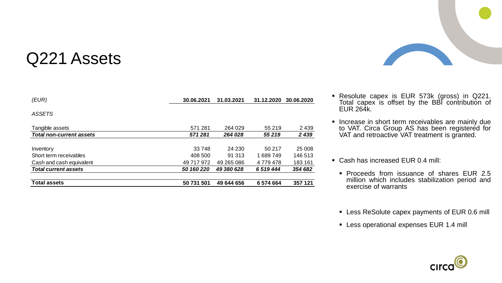# Q221 Assets

| <b>Total assets</b>             | 50 731 501 | 49 644 656 | 6574664       | 357 121    |
|---------------------------------|------------|------------|---------------|------------|
| <b>Total current assets</b>     | 50 160 220 | 49 380 628 | 6 519 444     | 354 682    |
| Cash and cash equivalent        | 49 717 972 | 49 265 086 | 4 7 7 9 4 7 8 | 183 161    |
| Short term receivables          | 408 500    | 91 313     | 1689749       | 146 513    |
| Inventory                       | 33 748     | 24 230     | 50 217        | 25 008     |
| <b>Total non-current assets</b> | 571281     | 264 028    | 55 219        | 2 4 3 9    |
| Tangible assets                 | 571 281    | 264 029    | 55 219        | 2439       |
| <b>ASSETS</b>                   |            |            |               |            |
| (EUR)                           | 30.06.2021 | 31.03.2021 | 31.12.2020    | 30.06.2020 |



- Resolute capex is EUR 573k (gross) in Q221. Total capex is offset by the BBI contribution of EUR 264k.
- **.** Increase in short term receivables are mainly due to VAT. Circa Group AS has been registered for VAT and retroactive VAT treatment is granted.
- Cash has increased EUR 0.4 mill:
	- Proceeds from issuance of shares EUR 2.5 million which includes stabilization period and exercise of warrants
	- **EXEC** Less ReSolute capex payments of EUR 0.6 mill
	- **EXECT:** Less operational expenses EUR 1.4 mill

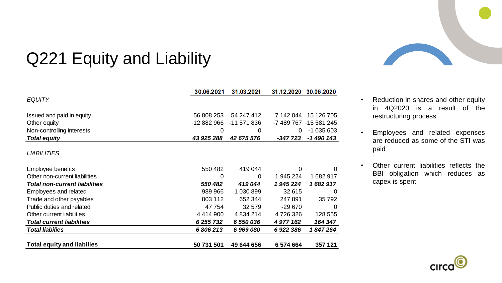

# Q221 Equity and Liability

|                                      | 30.06.2021    | 31.03.2021    | 31.12.2020 | 30.06.2020             |
|--------------------------------------|---------------|---------------|------------|------------------------|
| <b>EQUITY</b>                        |               |               |            |                        |
| Issued and paid in equity            | 56 808 253    | 54 247 412    | 7 142 044  | 15 126 705             |
| Other equity                         | -12 882 966   | -11 571 836   |            | -7 489 767 -15 581 245 |
| Non-controlling interests            | 0             | 0             | 0          | $-1035603$             |
| <b>Total equity</b>                  | 43 925 288    | 42 675 576    | $-347723$  | -1 490 143             |
| <b>LIABILITIES</b>                   |               |               |            |                        |
| Employee benefits                    | 550 482       | 419 044       | 0          | $\Omega$               |
| Other non-current liabilities        | 0             | 0             | 1 945 224  | 1682917                |
| <b>Total non-current liabilities</b> | 550 482       | 419044        | 1945224    | 1682917                |
| <b>Employees and related</b>         | 989 966       | 1 030 899     | 32 615     | $\Omega$               |
| Trade and other payables             | 803 112       | 652 344       | 247891     | 35 7 9 2               |
| Public duties and related            | 47754         | 32 579        | $-29670$   | $\Omega$               |
| Other current liabilities            | 4 4 1 4 9 0 0 | 4 8 3 4 2 1 4 | 4726326    | 128 555                |
| <b>Total current liabilities</b>     | 6 255 732     | 6 550 036     | 4 977 162  | 164 347                |
| <b>Total liabilies</b>               | 6806213       | 6969080       | 6 922 386  | 1847264                |
| <b>Total equity and liabilies</b>    | 50 731 501    | 49 644 656    | 6 574 664  | 357 121                |

- Reduction in shares and other equity in 4Q2020 is a result of the restructuring process
- Employees and related expenses are reduced as some of the STI was paid
- Other current liabilities reflects the BBI obligation which reduces as capex is spent

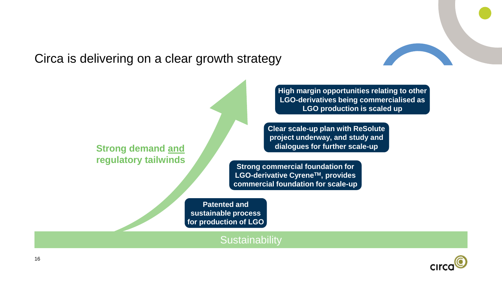Circa is delivering on a clear growth strategy

**Strong demand and regulatory tailwinds** **High margin opportunities relating to other LGO-derivatives being commercialised as LGO production is scaled up**

**Clear scale-up plan with ReSolute project underway, and study and dialogues for further scale-up**

**Strong commercial foundation for LGO-derivative CyreneTM, provides commercial foundation for scale-up**

**Patented and sustainable process for production of LGO**

**Sustainability** 

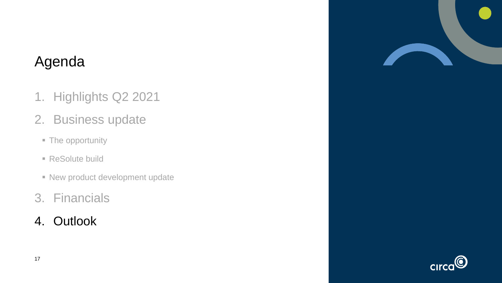### Agenda

- 1. Highlights Q2 2021
- 2. Business update
	- The opportunity
	- ReSolute build
	- **EXECUTE: New product development update**
- 3. Financials
- 4. Outlook



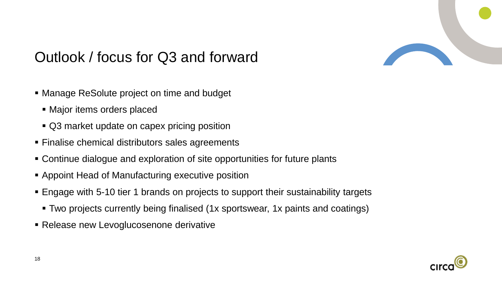

## Outlook / focus for Q3 and forward

- Manage ReSolute project on time and budget
	- Major items orders placed
	- Q3 market update on capex pricing position
- Finalise chemical distributors sales agreements
- Continue dialogue and exploration of site opportunities for future plants
- Appoint Head of Manufacturing executive position
- Engage with 5-10 tier 1 brands on projects to support their sustainability targets
	- Two projects currently being finalised (1x sportswear, 1x paints and coatings)
- **Exellease new Levoglucosenone derivative**

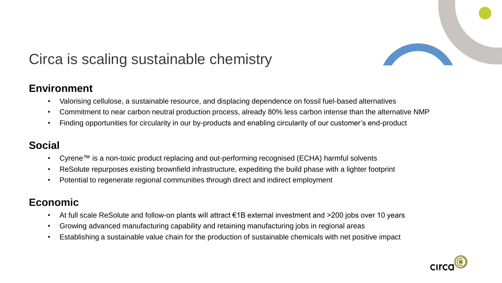

#### Circa is scaling sustainable chemistry

#### **Environment**

- Valorising cellulose, a sustainable resource, and displacing dependence on fossil fuel-based alternatives
- Commitment to near carbon neutral production process, already 80% less carbon intense than the alternative NMP
- Finding opportunities for circularity in our by-products and enabling circularity of our customer's end-product

#### **Social**

- Cyrene™ is a non-toxic product replacing and out-performing recognised (ECHA) harmful solvents
- ReSolute repurposes existing brownfield infrastructure, expediting the build phase with a lighter footprint
- Potential to regenerate regional communities through direct and indirect employment

#### **Economic**

- At full scale ReSolute and follow-on plants will attract €1B external investment and >200 jobs over 10 years
- Growing advanced manufacturing capability and retaining manufacturing jobs in regional areas
- Establishing a sustainable value chain for the production of sustainable chemicals with net positive impact

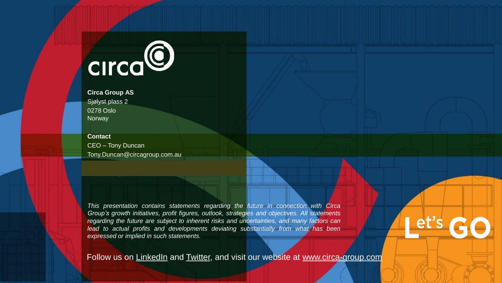

**Circa Group AS** Sjølyst plass 2 0278 Oslo **Norway** 

**Contact** CEO – Tony Duncan Tony.Duncan@circagroup.com.au

*This presentation contains statements regarding the future in connection with Circa Group's growth initiatives, profit figures, outlook, strategies and objectives. All statements regarding the future are subject to inherent risks and uncertainties, and many factors can lead to actual profits and developments deviating substantially from what has been expressed or implied in such statements.*

Follow us on [LinkedIn](https://www.linkedin.com/company/circa-group-au/) and [Twitter,](https://twitter.com/circagroup) and visit our website at [www.circa-group.com](https://circa-group.com/)

et's